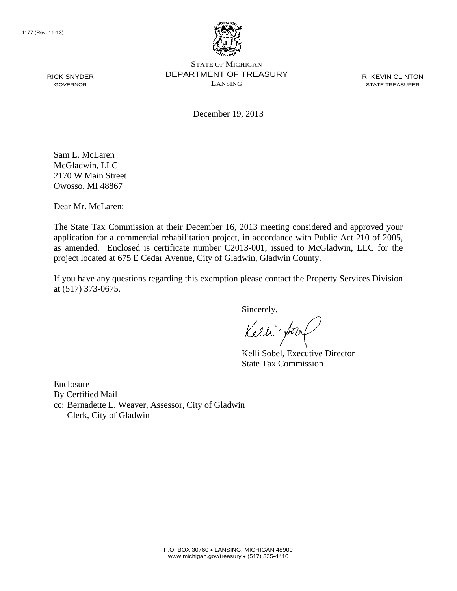

STATE OF MICHIGAN DEPARTMENT OF TREASURY LANSING

R. KEVIN CLINTON STATE TREASURER

December 19, 2013

Sam L. McLaren McGladwin, LLC 2170 W Main Street Owosso, MI 48867

Dear Mr. McLaren:

The State Tax Commission at their December 16, 2013 meeting considered and approved your application for a commercial rehabilitation project, in accordance with Public Act 210 of 2005, as amended. Enclosed is certificate number C2013-001, issued to McGladwin, LLC for the project located at 675 E Cedar Avenue, City of Gladwin, Gladwin County.

If you have any questions regarding this exemption please contact the Property Services Division at (517) 373-0675.

Sincerely,

Kelli for

Kelli Sobel, Executive Director State Tax Commission

Enclosure By Certified Mail cc: Bernadette L. Weaver, Assessor, City of Gladwin Clerk, City of Gladwin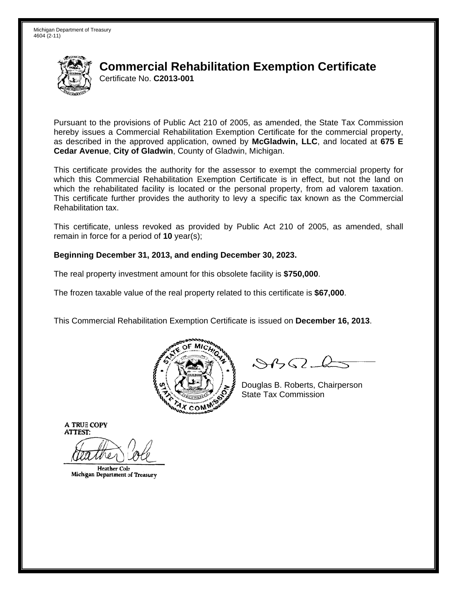

Pursuant to the provisions of Public Act 210 of 2005, as amended, the State Tax Commission hereby issues a Commercial Rehabilitation Exemption Certificate for the commercial property. as described in the approved application, owned by McGladwin, LLC, and located at 675 E Cedar Avenue, City of Gladwin, County of Gladwin, Michigan.

This certificate provides the authority for the assessor to exempt the commercial property for which this Commercial Rehabilitation Exemption Certificate is in effect, but not the land on which the rehabilitated facility is located or the personal property, from ad valorem taxation. This certificate further provides the authority to levy a specific tax known as the Commercial Rehabilitation tax.

This certificate, unless revoked as provided by Public Act 210 of 2005, as amended, shall remain in force for a period of  $10$  year(s);

### Beginning December 31, 2013, and ending December 30, 2023.

The real property investment amount for this obsolete facility is \$750,000.

The frozen taxable value of the real property related to this certificate is \$67,000.

This Commercial Rehabilitation Exemption Certificate is issued on December 16, 2013.



 $\mathcal{S}4\mathcal{G}$ 

Douglas B. Roberts, Chairperson **State Tax Commission** 

**Heather Cole** Michigan Department of Treasury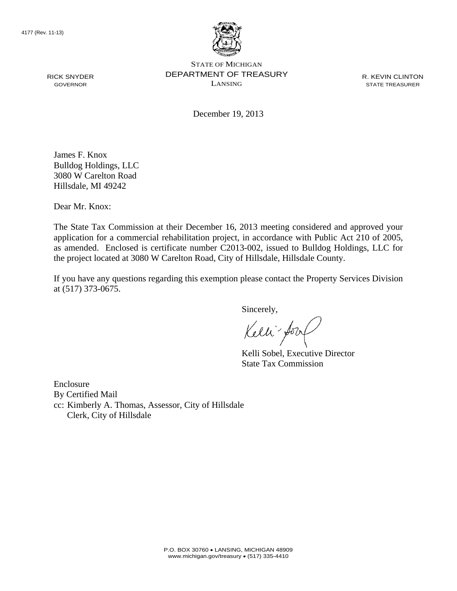

STATE OF MICHIGAN DEPARTMENT OF TREASURY LANSING

R. KEVIN CLINTON STATE TREASURER

December 19, 2013

James F. Knox Bulldog Holdings, LLC 3080 W Carelton Road Hillsdale, MI 49242

Dear Mr. Knox:

The State Tax Commission at their December 16, 2013 meeting considered and approved your application for a commercial rehabilitation project, in accordance with Public Act 210 of 2005, as amended. Enclosed is certificate number C2013-002, issued to Bulldog Holdings, LLC for the project located at 3080 W Carelton Road, City of Hillsdale, Hillsdale County.

If you have any questions regarding this exemption please contact the Property Services Division at (517) 373-0675.

Sincerely,

Kelli-Sorr

Kelli Sobel, Executive Director State Tax Commission

Enclosure By Certified Mail cc: Kimberly A. Thomas, Assessor, City of Hillsdale Clerk, City of Hillsdale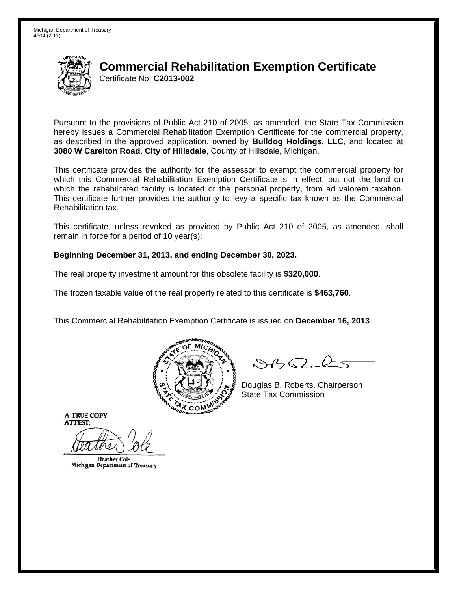

Pursuant to the provisions of Public Act 210 of 2005, as amended, the State Tax Commission hereby issues a Commercial Rehabilitation Exemption Certificate for the commercial property, as described in the approved application, owned by **Bulldog Holdings, LLC**, and located at 3080 W Carelton Road, City of Hillsdale, County of Hillsdale, Michigan.

This certificate provides the authority for the assessor to exempt the commercial property for which this Commercial Rehabilitation Exemption Certificate is in effect, but not the land on which the rehabilitated facility is located or the personal property, from ad valorem taxation. This certificate further provides the authority to levy a specific tax known as the Commercial Rehabilitation tax.

This certificate, unless revoked as provided by Public Act 210 of 2005, as amended, shall remain in force for a period of  $10$  year(s);

### Beginning December 31, 2013, and ending December 30, 2023.

The real property investment amount for this obsolete facility is \$320,000.

The frozen taxable value of the real property related to this certificate is \$463,760.

This Commercial Rehabilitation Exemption Certificate is issued on December 16, 2013.



 $\mathcal{S}4\mathcal{G}$ 

Douglas B. Roberts, Chairperson **State Tax Commission** 

**Heather Cole** Michigan Department of Treasury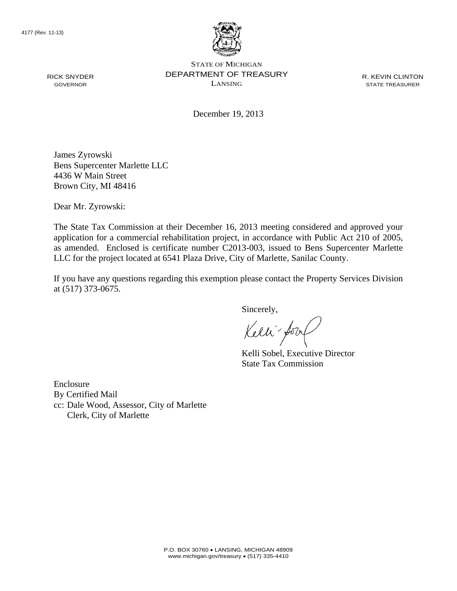

STATE OF MICHIGAN DEPARTMENT OF TREASURY LANSING

R. KEVIN CLINTON STATE TREASURER

December 19, 2013

James Zyrowski Bens Supercenter Marlette LLC 4436 W Main Street Brown City, MI 48416

Dear Mr. Zyrowski:

The State Tax Commission at their December 16, 2013 meeting considered and approved your application for a commercial rehabilitation project, in accordance with Public Act 210 of 2005, as amended. Enclosed is certificate number C2013-003, issued to Bens Supercenter Marlette LLC for the project located at 6541 Plaza Drive, City of Marlette, Sanilac County.

If you have any questions regarding this exemption please contact the Property Services Division at (517) 373-0675.

Sincerely,

Kelli for

Kelli Sobel, Executive Director State Tax Commission

Enclosure By Certified Mail cc: Dale Wood, Assessor, City of Marlette Clerk, City of Marlette

RICK SNYDER GOVERNOR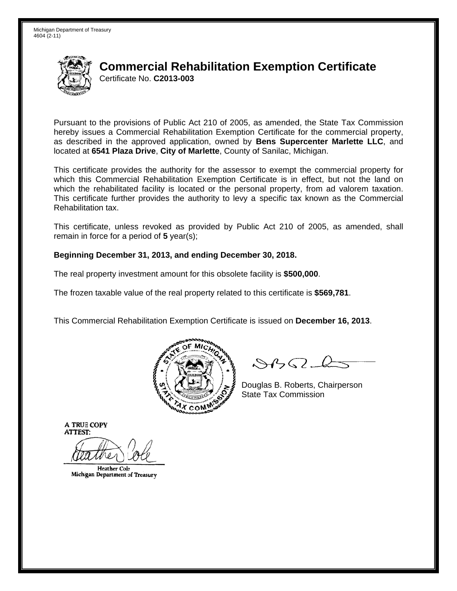

Pursuant to the provisions of Public Act 210 of 2005, as amended, the State Tax Commission hereby issues a Commercial Rehabilitation Exemption Certificate for the commercial property, as described in the approved application, owned by Bens Supercenter Marlette LLC, and located at 6541 Plaza Drive, City of Marlette, County of Sanilac, Michigan.

This certificate provides the authority for the assessor to exempt the commercial property for which this Commercial Rehabilitation Exemption Certificate is in effect, but not the land on which the rehabilitated facility is located or the personal property, from ad valorem taxation. This certificate further provides the authority to levy a specific tax known as the Commercial Rehabilitation tax.

This certificate, unless revoked as provided by Public Act 210 of 2005, as amended, shall remain in force for a period of  $5$  year(s);

### Beginning December 31, 2013, and ending December 30, 2018.

The real property investment amount for this obsolete facility is \$500,000.

The frozen taxable value of the real property related to this certificate is \$569,781.

This Commercial Rehabilitation Exemption Certificate is issued on December 16, 2013.



 $\mathcal{S}4\mathcal{G}$ 

Douglas B. Roberts, Chairperson **State Tax Commission** 

**Heather Cole** Michigan Department of Treasury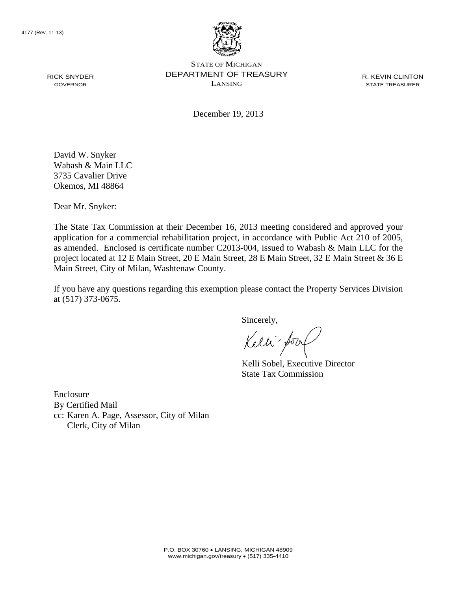

STATE OF MICHIGAN DEPARTMENT OF TREASURY LANSING

R. KEVIN CLINTON STATE TREASURER

December 19, 2013

David W. Snyker Wabash & Main LLC 3735 Cavalier Drive Okemos, MI 48864

Dear Mr. Snyker:

The State Tax Commission at their December 16, 2013 meeting considered and approved your application for a commercial rehabilitation project, in accordance with Public Act 210 of 2005, as amended. Enclosed is certificate number C2013-004, issued to Wabash & Main LLC for the project located at 12 E Main Street, 20 E Main Street, 28 E Main Street, 32 E Main Street & 36 E Main Street, City of Milan, Washtenaw County.

If you have any questions regarding this exemption please contact the Property Services Division at (517) 373-0675.

Sincerely,

Kelli fory

Kelli Sobel, Executive Director State Tax Commission

Enclosure By Certified Mail cc: Karen A. Page, Assessor, City of Milan Clerk, City of Milan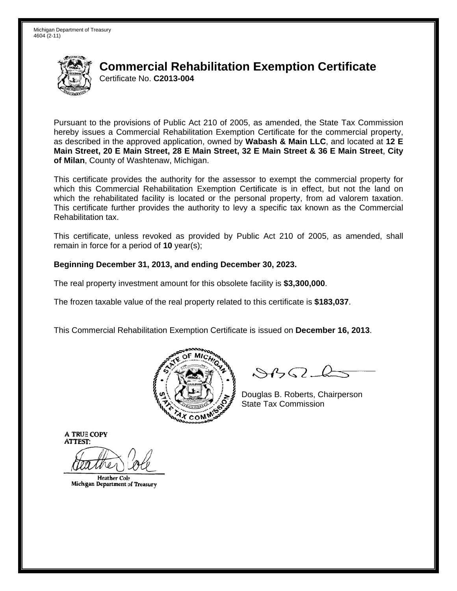

Pursuant to the provisions of Public Act 210 of 2005, as amended, the State Tax Commission hereby issues a Commercial Rehabilitation Exemption Certificate for the commercial property, as described in the approved application, owned by Wabash & Main LLC, and located at 12 E Main Street, 20 E Main Street, 28 E Main Street, 32 E Main Street & 36 E Main Street, City of Milan, County of Washtenaw, Michigan.

This certificate provides the authority for the assessor to exempt the commercial property for which this Commercial Rehabilitation Exemption Certificate is in effect, but not the land on which the rehabilitated facility is located or the personal property, from ad valorem taxation. This certificate further provides the authority to levy a specific tax known as the Commercial Rehabilitation tax.

This certificate, unless revoked as provided by Public Act 210 of 2005, as amended, shall remain in force for a period of  $10$  year(s);

### Beginning December 31, 2013, and ending December 30, 2023.

The real property investment amount for this obsolete facility is \$3,300,000.

The frozen taxable value of the real property related to this certificate is \$183,037.

This Commercial Rehabilitation Exemption Certificate is issued on December 16, 2013.



 $\mathcal{S}$ BO-la

Douglas B. Roberts, Chairperson **State Tax Commission** 

**Heather Cole** Michigan Department of Treasury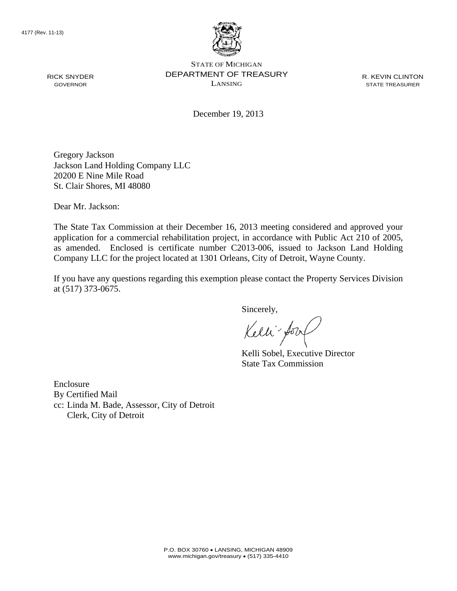

STATE OF MICHIGAN DEPARTMENT OF TREASURY LANSING

R. KEVIN CLINTON STATE TREASURER

December 19, 2013

Gregory Jackson Jackson Land Holding Company LLC 20200 E Nine Mile Road St. Clair Shores, MI 48080

Dear Mr. Jackson:

The State Tax Commission at their December 16, 2013 meeting considered and approved your application for a commercial rehabilitation project, in accordance with Public Act 210 of 2005, as amended. Enclosed is certificate number C2013-006, issued to Jackson Land Holding Company LLC for the project located at 1301 Orleans, City of Detroit, Wayne County.

If you have any questions regarding this exemption please contact the Property Services Division at (517) 373-0675.

Sincerely,

Kelli-Sorr

Kelli Sobel, Executive Director State Tax Commission

Enclosure By Certified Mail cc: Linda M. Bade, Assessor, City of Detroit Clerk, City of Detroit

RICK SNYDER GOVERNOR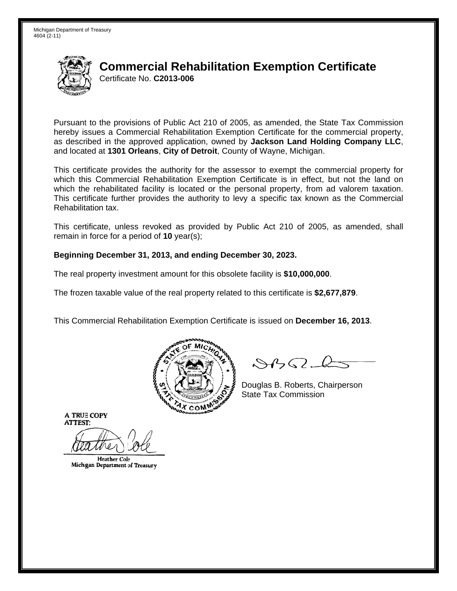

Pursuant to the provisions of Public Act 210 of 2005, as amended, the State Tax Commission hereby issues a Commercial Rehabilitation Exemption Certificate for the commercial property. as described in the approved application, owned by Jackson Land Holding Company LLC, and located at 1301 Orleans, City of Detroit, County of Wayne, Michigan.

This certificate provides the authority for the assessor to exempt the commercial property for which this Commercial Rehabilitation Exemption Certificate is in effect, but not the land on which the rehabilitated facility is located or the personal property, from ad valorem taxation. This certificate further provides the authority to levy a specific tax known as the Commercial Rehabilitation tax.

This certificate, unless revoked as provided by Public Act 210 of 2005, as amended, shall remain in force for a period of  $10$  year(s);

### Beginning December 31, 2013, and ending December 30, 2023.

The real property investment amount for this obsolete facility is \$10,000,000.

The frozen taxable value of the real property related to this certificate is \$2,677,879.

This Commercial Rehabilitation Exemption Certificate is issued on December 16, 2013.



 $\mathcal{S}4$ 

Douglas B. Roberts, Chairperson **State Tax Commission** 

**Heather Cole** Michigan Department of Treasury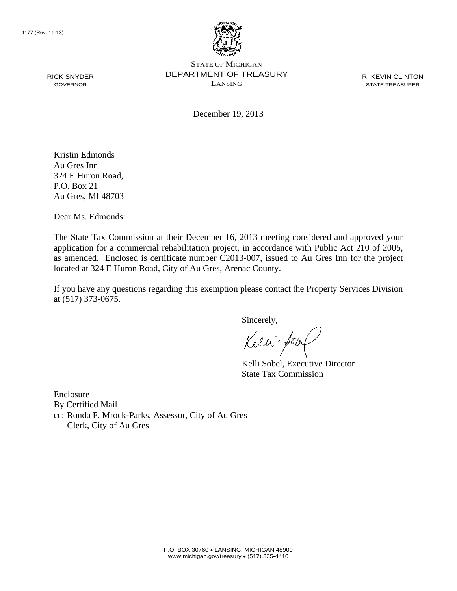

STATE OF MICHIGAN DEPARTMENT OF TREASURY LANSING

R. KEVIN CLINTON STATE TREASURER

December 19, 2013

Kristin Edmonds Au Gres Inn 324 E Huron Road, P.O. Box 21 Au Gres, MI 48703

Dear Ms. Edmonds:

The State Tax Commission at their December 16, 2013 meeting considered and approved your application for a commercial rehabilitation project, in accordance with Public Act 210 of 2005, as amended. Enclosed is certificate number C2013-007, issued to Au Gres Inn for the project located at 324 E Huron Road, City of Au Gres, Arenac County.

If you have any questions regarding this exemption please contact the Property Services Division at (517) 373-0675.

Sincerely,

Kelli fory

Kelli Sobel, Executive Director State Tax Commission

Enclosure By Certified Mail cc: Ronda F. Mrock-Parks, Assessor, City of Au Gres Clerk, City of Au Gres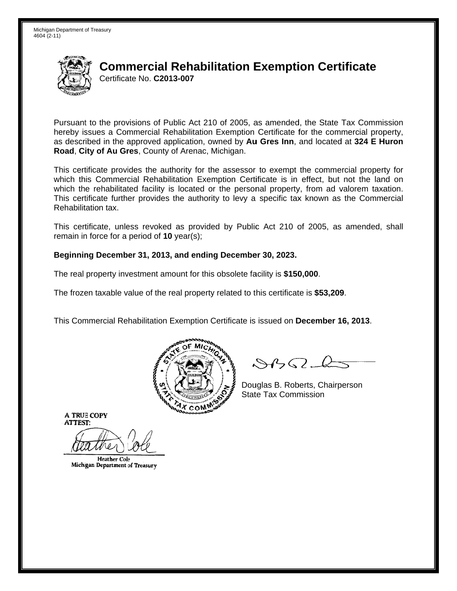

Pursuant to the provisions of Public Act 210 of 2005, as amended, the State Tax Commission hereby issues a Commercial Rehabilitation Exemption Certificate for the commercial property. as described in the approved application, owned by Au Gres Inn, and located at 324 E Huron Road, City of Au Gres, County of Arenac, Michigan.

This certificate provides the authority for the assessor to exempt the commercial property for which this Commercial Rehabilitation Exemption Certificate is in effect, but not the land on which the rehabilitated facility is located or the personal property, from ad valorem taxation. This certificate further provides the authority to levy a specific tax known as the Commercial Rehabilitation tax.

This certificate, unless revoked as provided by Public Act 210 of 2005, as amended, shall remain in force for a period of  $10$  year(s);

### Beginning December 31, 2013, and ending December 30, 2023.

The real property investment amount for this obsolete facility is \$150,000.

The frozen taxable value of the real property related to this certificate is \$53,209.

This Commercial Rehabilitation Exemption Certificate is issued on December 16, 2013.



 $\mathcal{S}4$ 

Douglas B. Roberts, Chairperson **State Tax Commission** 

**Heather Cole** Michigan Department of Treasury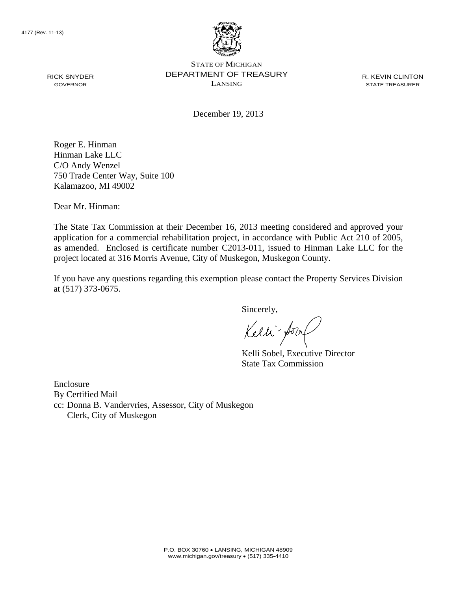

STATE OF MICHIGAN DEPARTMENT OF TREASURY LANSING

R. KEVIN CLINTON STATE TREASURER

December 19, 2013

Roger E. Hinman Hinman Lake LLC C/O Andy Wenzel 750 Trade Center Way, Suite 100 Kalamazoo, MI 49002

Dear Mr. Hinman:

The State Tax Commission at their December 16, 2013 meeting considered and approved your application for a commercial rehabilitation project, in accordance with Public Act 210 of 2005, as amended. Enclosed is certificate number C2013-011, issued to Hinman Lake LLC for the project located at 316 Morris Avenue, City of Muskegon, Muskegon County.

If you have any questions regarding this exemption please contact the Property Services Division at (517) 373-0675.

Sincerely,

Kelli-Sorr

Kelli Sobel, Executive Director State Tax Commission

Enclosure By Certified Mail cc: Donna B. Vandervries, Assessor, City of Muskegon Clerk, City of Muskegon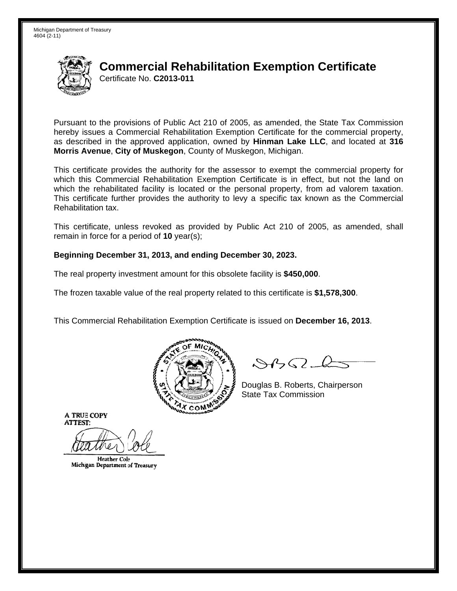

Pursuant to the provisions of Public Act 210 of 2005, as amended, the State Tax Commission hereby issues a Commercial Rehabilitation Exemption Certificate for the commercial property. as described in the approved application, owned by Hinman Lake LLC, and located at 316 Morris Avenue, City of Muskegon, County of Muskegon, Michigan.

This certificate provides the authority for the assessor to exempt the commercial property for which this Commercial Rehabilitation Exemption Certificate is in effect, but not the land on which the rehabilitated facility is located or the personal property, from ad valorem taxation. This certificate further provides the authority to levy a specific tax known as the Commercial Rehabilitation tax.

This certificate, unless revoked as provided by Public Act 210 of 2005, as amended, shall remain in force for a period of  $10$  year(s);

### Beginning December 31, 2013, and ending December 30, 2023.

The real property investment amount for this obsolete facility is \$450,000.

The frozen taxable value of the real property related to this certificate is \$1,578,300.

This Commercial Rehabilitation Exemption Certificate is issued on December 16, 2013.



 $\mathcal{S}4$ 

Douglas B. Roberts, Chairperson **State Tax Commission** 

**Heather Cole** Michigan Department of Treasury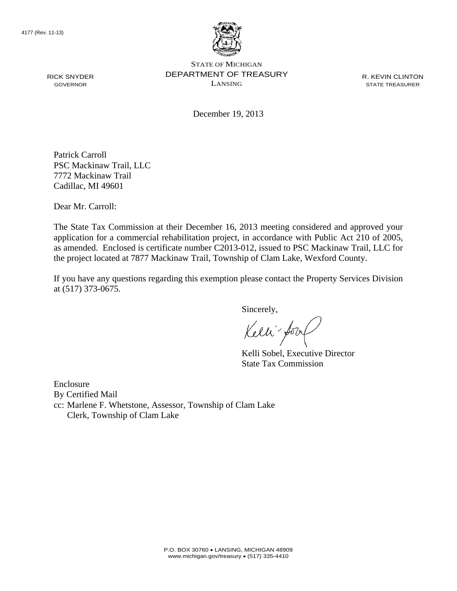

STATE OF MICHIGAN DEPARTMENT OF TREASURY LANSING

R. KEVIN CLINTON STATE TREASURER

December 19, 2013

Patrick Carroll PSC Mackinaw Trail, LLC 7772 Mackinaw Trail Cadillac, MI 49601

Dear Mr. Carroll:

The State Tax Commission at their December 16, 2013 meeting considered and approved your application for a commercial rehabilitation project, in accordance with Public Act 210 of 2005, as amended. Enclosed is certificate number C2013-012, issued to PSC Mackinaw Trail, LLC for the project located at 7877 Mackinaw Trail, Township of Clam Lake, Wexford County.

If you have any questions regarding this exemption please contact the Property Services Division at (517) 373-0675.

Sincerely,

Kelli-Sorr

Kelli Sobel, Executive Director State Tax Commission

Enclosure By Certified Mail cc: Marlene F. Whetstone, Assessor, Township of Clam Lake Clerk, Township of Clam Lake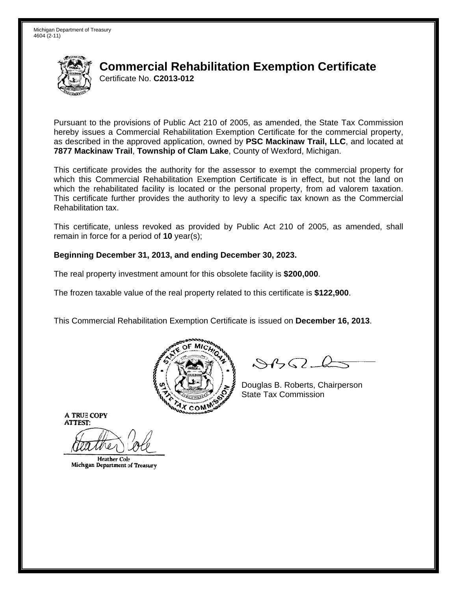

Pursuant to the provisions of Public Act 210 of 2005, as amended, the State Tax Commission hereby issues a Commercial Rehabilitation Exemption Certificate for the commercial property, as described in the approved application, owned by PSC Mackinaw Trail, LLC, and located at 7877 Mackinaw Trail, Township of Clam Lake, County of Wexford, Michigan.

This certificate provides the authority for the assessor to exempt the commercial property for which this Commercial Rehabilitation Exemption Certificate is in effect, but not the land on which the rehabilitated facility is located or the personal property, from ad valorem taxation. This certificate further provides the authority to levy a specific tax known as the Commercial Rehabilitation tax.

This certificate, unless revoked as provided by Public Act 210 of 2005, as amended, shall remain in force for a period of  $10$  year(s);

### Beginning December 31, 2013, and ending December 30, 2023.

The real property investment amount for this obsolete facility is \$200,000.

The frozen taxable value of the real property related to this certificate is \$122,900.

This Commercial Rehabilitation Exemption Certificate is issued on December 16, 2013.



 $\mathcal{S}4$ 

Douglas B. Roberts, Chairperson **State Tax Commission** 

**Heather Cole** Michigan Department of Treasury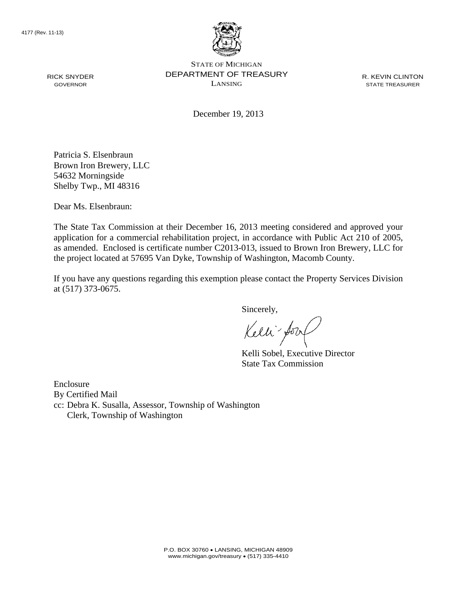

STATE OF MICHIGAN DEPARTMENT OF TREASURY LANSING

R. KEVIN CLINTON STATE TREASURER

December 19, 2013

Patricia S. Elsenbraun Brown Iron Brewery, LLC 54632 Morningside Shelby Twp., MI 48316

Dear Ms. Elsenbraun:

The State Tax Commission at their December 16, 2013 meeting considered and approved your application for a commercial rehabilitation project, in accordance with Public Act 210 of 2005, as amended. Enclosed is certificate number C2013-013, issued to Brown Iron Brewery, LLC for the project located at 57695 Van Dyke, Township of Washington, Macomb County.

If you have any questions regarding this exemption please contact the Property Services Division at (517) 373-0675.

Sincerely,

Kelli-Sorr

Kelli Sobel, Executive Director State Tax Commission

Enclosure By Certified Mail cc: Debra K. Susalla, Assessor, Township of Washington Clerk, Township of Washington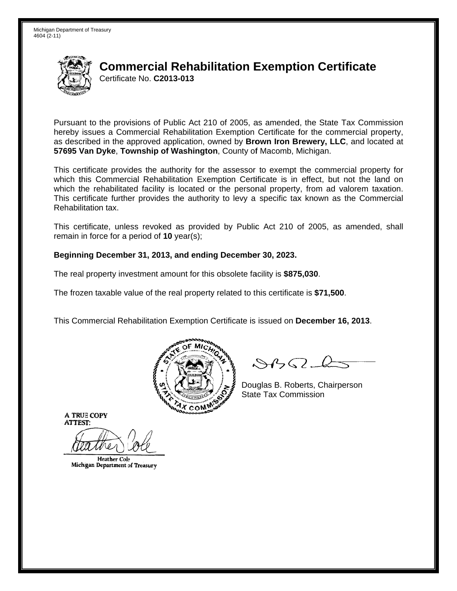

Pursuant to the provisions of Public Act 210 of 2005, as amended, the State Tax Commission hereby issues a Commercial Rehabilitation Exemption Certificate for the commercial property. as described in the approved application, owned by **Brown Iron Brewery, LLC**, and located at 57695 Van Dyke, Township of Washington, County of Macomb, Michigan.

This certificate provides the authority for the assessor to exempt the commercial property for which this Commercial Rehabilitation Exemption Certificate is in effect, but not the land on which the rehabilitated facility is located or the personal property, from ad valorem taxation. This certificate further provides the authority to levy a specific tax known as the Commercial Rehabilitation tax.

This certificate, unless revoked as provided by Public Act 210 of 2005, as amended, shall remain in force for a period of  $10$  year(s);

### Beginning December 31, 2013, and ending December 30, 2023.

The real property investment amount for this obsolete facility is \$875,030.

The frozen taxable value of the real property related to this certificate is \$71,500.

This Commercial Rehabilitation Exemption Certificate is issued on December 16, 2013.



 $\mathcal{S}4\mathcal{G}$ 

Douglas B. Roberts, Chairperson **State Tax Commission** 

**Heather Cole** Michigan Department of Treasury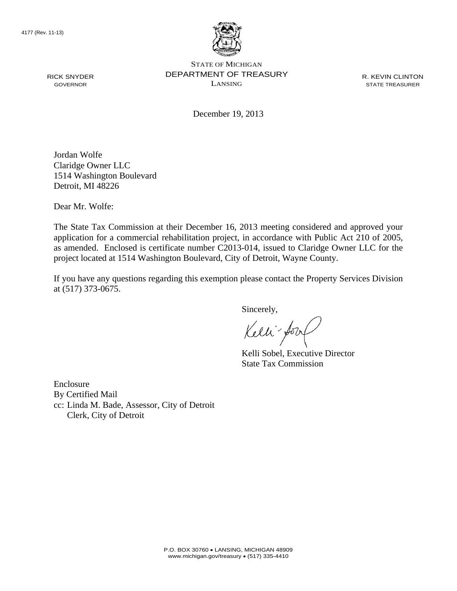

STATE OF MICHIGAN DEPARTMENT OF TREASURY LANSING

R. KEVIN CLINTON STATE TREASURER

December 19, 2013

Jordan Wolfe Claridge Owner LLC 1514 Washington Boulevard Detroit, MI 48226

Dear Mr. Wolfe:

The State Tax Commission at their December 16, 2013 meeting considered and approved your application for a commercial rehabilitation project, in accordance with Public Act 210 of 2005, as amended. Enclosed is certificate number C2013-014, issued to Claridge Owner LLC for the project located at 1514 Washington Boulevard, City of Detroit, Wayne County.

If you have any questions regarding this exemption please contact the Property Services Division at (517) 373-0675.

Sincerely,

Kelli-Sorr

Kelli Sobel, Executive Director State Tax Commission

Enclosure By Certified Mail cc: Linda M. Bade, Assessor, City of Detroit Clerk, City of Detroit

RICK SNYDER GOVERNOR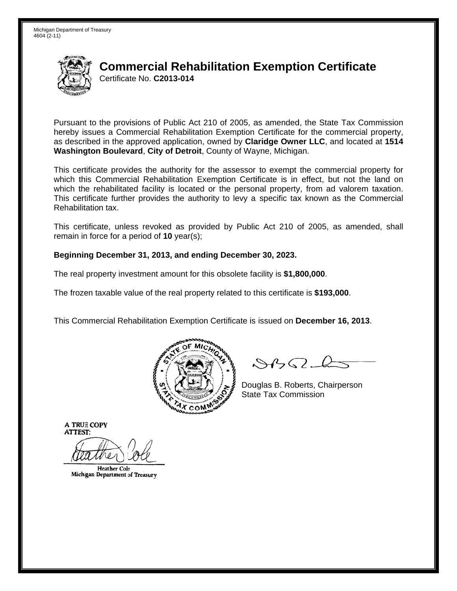

Pursuant to the provisions of Public Act 210 of 2005, as amended, the State Tax Commission hereby issues a Commercial Rehabilitation Exemption Certificate for the commercial property, as described in the approved application, owned by Claridge Owner LLC, and located at 1514 Washington Boulevard, City of Detroit, County of Wayne, Michigan.

This certificate provides the authority for the assessor to exempt the commercial property for which this Commercial Rehabilitation Exemption Certificate is in effect, but not the land on which the rehabilitated facility is located or the personal property, from ad valorem taxation. This certificate further provides the authority to levy a specific tax known as the Commercial Rehabilitation tax.

This certificate, unless revoked as provided by Public Act 210 of 2005, as amended, shall remain in force for a period of  $10$  year(s);

### Beginning December 31, 2013, and ending December 30, 2023.

The real property investment amount for this obsolete facility is \$1,800,000.

The frozen taxable value of the real property related to this certificate is \$193,000.

This Commercial Rehabilitation Exemption Certificate is issued on December 16, 2013.



 $\mathcal{S}4\mathcal{G}$ 

Douglas B. Roberts, Chairperson **State Tax Commission** 

**Heather Cole** Michigan Department of Treasury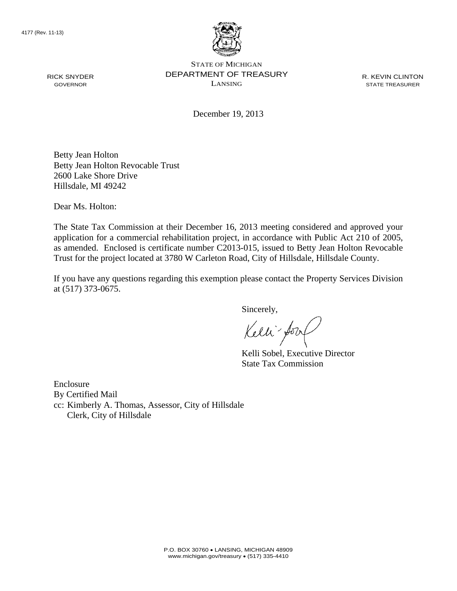

STATE OF MICHIGAN DEPARTMENT OF TREASURY LANSING

R. KEVIN CLINTON STATE TREASURER

December 19, 2013

Betty Jean Holton Betty Jean Holton Revocable Trust 2600 Lake Shore Drive Hillsdale, MI 49242

Dear Ms. Holton:

The State Tax Commission at their December 16, 2013 meeting considered and approved your application for a commercial rehabilitation project, in accordance with Public Act 210 of 2005, as amended. Enclosed is certificate number C2013-015, issued to Betty Jean Holton Revocable Trust for the project located at 3780 W Carleton Road, City of Hillsdale, Hillsdale County.

If you have any questions regarding this exemption please contact the Property Services Division at (517) 373-0675.

Sincerely,

Kelli-Sorr

Kelli Sobel, Executive Director State Tax Commission

Enclosure By Certified Mail cc: Kimberly A. Thomas, Assessor, City of Hillsdale Clerk, City of Hillsdale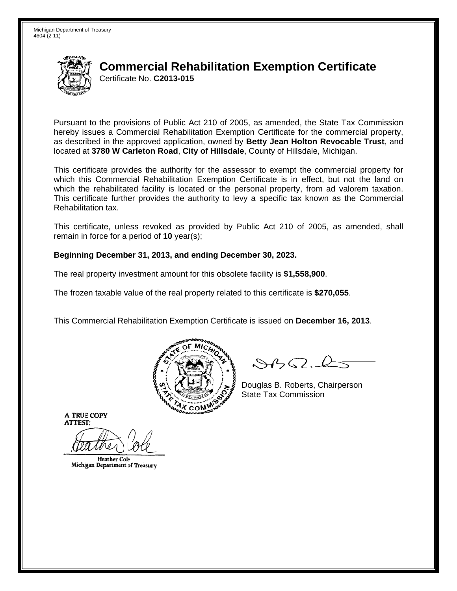

Pursuant to the provisions of Public Act 210 of 2005, as amended, the State Tax Commission hereby issues a Commercial Rehabilitation Exemption Certificate for the commercial property. as described in the approved application, owned by Betty Jean Holton Revocable Trust, and located at 3780 W Carleton Road, City of Hillsdale, County of Hillsdale, Michigan.

This certificate provides the authority for the assessor to exempt the commercial property for which this Commercial Rehabilitation Exemption Certificate is in effect, but not the land on which the rehabilitated facility is located or the personal property, from ad valorem taxation. This certificate further provides the authority to levy a specific tax known as the Commercial Rehabilitation tax.

This certificate, unless revoked as provided by Public Act 210 of 2005, as amended, shall remain in force for a period of  $10$  year(s);

### Beginning December 31, 2013, and ending December 30, 2023.

The real property investment amount for this obsolete facility is \$1,558,900.

The frozen taxable value of the real property related to this certificate is \$270,055.

This Commercial Rehabilitation Exemption Certificate is issued on December 16, 2013.



 $\mathcal{S}4$ 

Douglas B. Roberts, Chairperson **State Tax Commission** 

**Heather Cole** Michigan Department of Treasury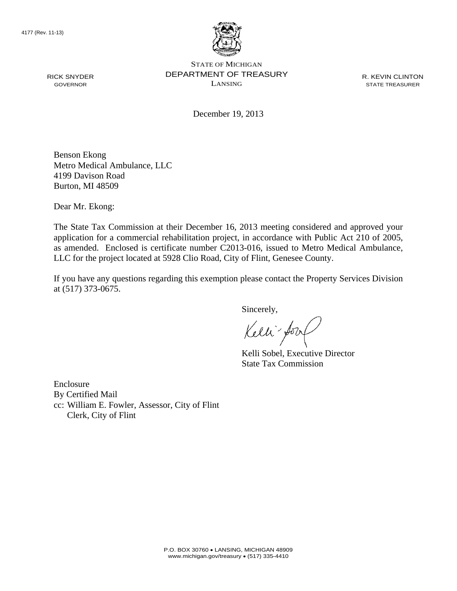

STATE OF MICHIGAN DEPARTMENT OF TREASURY LANSING

R. KEVIN CLINTON STATE TREASURER

December 19, 2013

Benson Ekong Metro Medical Ambulance, LLC 4199 Davison Road Burton, MI 48509

Dear Mr. Ekong:

The State Tax Commission at their December 16, 2013 meeting considered and approved your application for a commercial rehabilitation project, in accordance with Public Act 210 of 2005, as amended. Enclosed is certificate number C2013-016, issued to Metro Medical Ambulance, LLC for the project located at 5928 Clio Road, City of Flint, Genesee County.

If you have any questions regarding this exemption please contact the Property Services Division at (517) 373-0675.

Sincerely,

Kelli for

Kelli Sobel, Executive Director State Tax Commission

Enclosure By Certified Mail cc: William E. Fowler, Assessor, City of Flint Clerk, City of Flint

RICK SNYDER GOVERNOR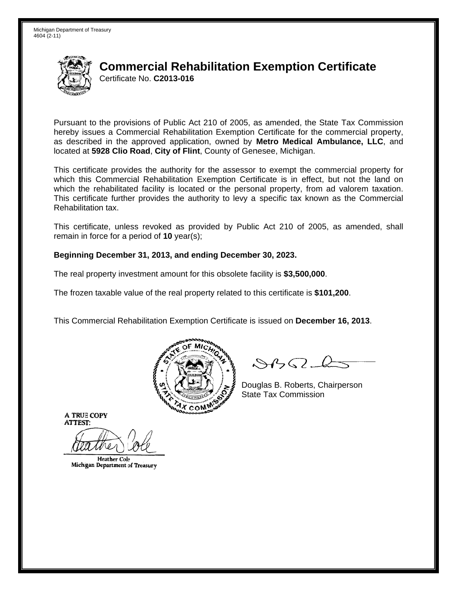

Pursuant to the provisions of Public Act 210 of 2005, as amended, the State Tax Commission hereby issues a Commercial Rehabilitation Exemption Certificate for the commercial property. as described in the approved application, owned by Metro Medical Ambulance, LLC, and located at 5928 Clio Road, City of Flint, County of Genesee, Michigan.

This certificate provides the authority for the assessor to exempt the commercial property for which this Commercial Rehabilitation Exemption Certificate is in effect, but not the land on which the rehabilitated facility is located or the personal property, from ad valorem taxation. This certificate further provides the authority to levy a specific tax known as the Commercial Rehabilitation tax.

This certificate, unless revoked as provided by Public Act 210 of 2005, as amended, shall remain in force for a period of  $10$  year(s);

### Beginning December 31, 2013, and ending December 30, 2023.

The real property investment amount for this obsolete facility is \$3,500,000.

The frozen taxable value of the real property related to this certificate is \$101,200.

This Commercial Rehabilitation Exemption Certificate is issued on December 16, 2013.



 $\mathcal{S}4$ 

Douglas B. Roberts, Chairperson **State Tax Commission** 

**Heather Cole** Michigan Department of Treasury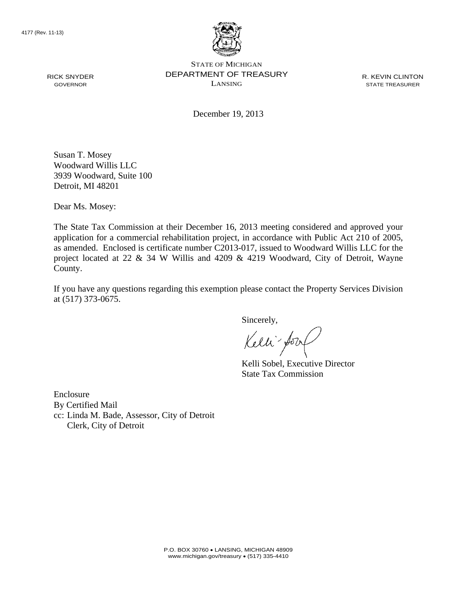

STATE OF MICHIGAN DEPARTMENT OF TREASURY LANSING

R. KEVIN CLINTON STATE TREASURER

December 19, 2013

Susan T. Mosey Woodward Willis LLC 3939 Woodward, Suite 100 Detroit, MI 48201

Dear Ms. Mosey:

The State Tax Commission at their December 16, 2013 meeting considered and approved your application for a commercial rehabilitation project, in accordance with Public Act 210 of 2005, as amended. Enclosed is certificate number C2013-017, issued to Woodward Willis LLC for the project located at 22 & 34 W Willis and 4209 & 4219 Woodward, City of Detroit, Wayne County.

If you have any questions regarding this exemption please contact the Property Services Division at (517) 373-0675.

Sincerely,

Kelli forz

Kelli Sobel, Executive Director State Tax Commission

Enclosure By Certified Mail cc: Linda M. Bade, Assessor, City of Detroit Clerk, City of Detroit